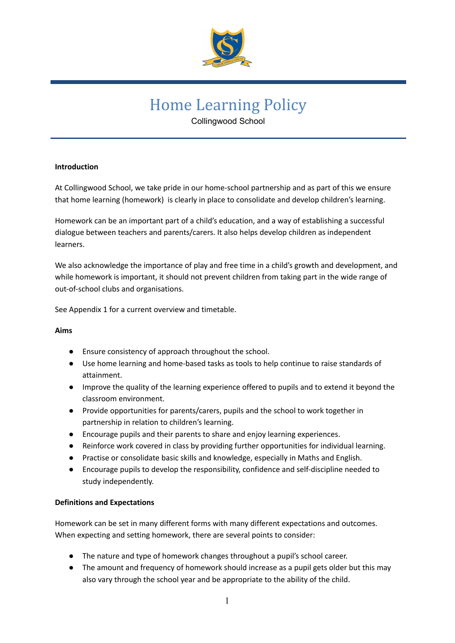

# Home Learning Policy

Collingwood School

# **Introduction**

At Collingwood School, we take pride in our home-school partnership and as part of this we ensure that home learning (homework) is clearly in place to consolidate and develop children's learning.

Homework can be an important part of a child's education, and a way of establishing a successful dialogue between teachers and parents/carers. It also helps develop children as independent learners.

We also acknowledge the importance of play and free time in a child's growth and development, and while homework is important, it should not prevent children from taking part in the wide range of out-of-school clubs and organisations.

See Appendix 1 for a current overview and timetable.

#### **Aims**

- Ensure consistency of approach throughout the school.
- Use home learning and home-based tasks as tools to help continue to raise standards of attainment.
- Improve the quality of the learning experience offered to pupils and to extend it beyond the classroom environment.
- Provide opportunities for parents/carers, pupils and the school to work together in partnership in relation to children's learning.
- Encourage pupils and their parents to share and enjoy learning experiences.
- Reinforce work covered in class by providing further opportunities for individual learning.
- Practise or consolidate basic skills and knowledge, especially in Maths and English.
- Encourage pupils to develop the responsibility, confidence and self-discipline needed to study independently.

#### **Definitions and Expectations**

Homework can be set in many different forms with many different expectations and outcomes. When expecting and setting homework, there are several points to consider:

- The nature and type of homework changes throughout a pupil's school career.
- The amount and frequency of homework should increase as a pupil gets older but this may also vary through the school year and be appropriate to the ability of the child.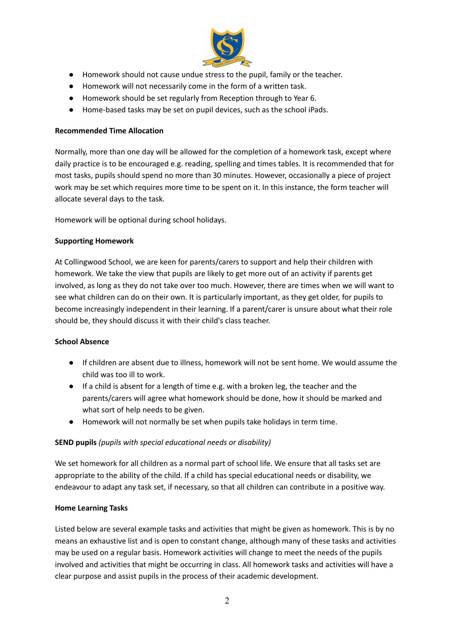

- Homework should not cause undue stress to the pupil, family or the teacher.
- Homework will not necessarily come in the form of a written task.
- Homework should be set regularly from Reception through to Year 6.
- Home-based tasks may be set on pupil devices, such as the school iPads.

#### **Recommended Time Allocation**

Normally, more than one day will be allowed for the completion of a homework task, except where daily practice is to be encouraged e.g. reading, spelling and times tables. It is recommended that for most tasks, pupils should spend no more than 30 minutes. However, occasionally a piece of project work may be set which requires more time to be spent on it. In this instance, the form teacher will allocate several days to the task.

Homework will be optional during school holidays.

### **Supporting Homework**

At Collingwood School, we are keen for parents/carers to support and help their children with homework. We take the view that pupils are likely to get more out of an activity if parents get involved, as long as they do not take over too much. However, there are times when we will want to see what children can do on their own. It is particularly important, as they get older, for pupils to become increasingly independent in their learning. If a parent/carer is unsure about what their role should be, they should discuss it with their child's class teacher.

#### **School Absence**

- If children are absent due to illness, homework will not be sent home. We would assume the child was too ill to work.
- If a child is absent for a length of time e.g. with a broken leg, the teacher and the parents/carers will agree what homework should be done, how it should be marked and what sort of help needs to be given.
- Homework will not normally be set when pupils take holidays in term time.

# **SEND pupils** *(pupils with special educational needs or disability)*

We set homework for all children as a normal part of school life. We ensure that all tasks set are appropriate to the ability of the child. If a child has special educational needs or disability, we endeavour to adapt any task set, if necessary, so that all children can contribute in a positive way.

#### **Home Learning Tasks**

Listed below are several example tasks and activities that might be given as homework. This is by no means an exhaustive list and is open to constant change, although many of these tasks and activities may be used on a regular basis. Homework activities will change to meet the needs of the pupils involved and activities that might be occurring in class. All homework tasks and activities will have a clear purpose and assist pupils in the process of their academic development.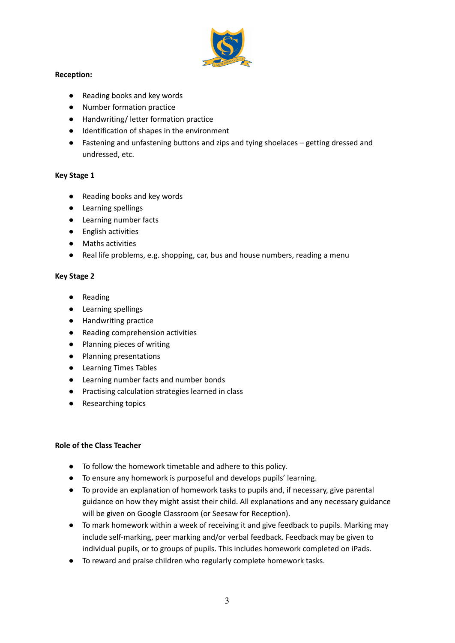

# **Reception:**

- Reading books and key words
- Number formation practice
- Handwriting/ letter formation practice
- Identification of shapes in the environment
- Fastening and unfastening buttons and zips and tying shoelaces getting dressed and undressed, etc.

# **Key Stage 1**

- Reading books and key words
- Learning spellings
- Learning number facts
- English activities
- Maths activities
- Real life problems, e.g. shopping, car, bus and house numbers, reading a menu

# **Key Stage 2**

- Reading
- Learning spellings
- Handwriting practice
- Reading comprehension activities
- Planning pieces of writing
- Planning presentations
- Learning Times Tables
- Learning number facts and number bonds
- Practising calculation strategies learned in class
- Researching topics

# **Role of the Class Teacher**

- To follow the homework timetable and adhere to this policy.
- To ensure any homework is purposeful and develops pupils' learning.
- To provide an explanation of homework tasks to pupils and, if necessary, give parental guidance on how they might assist their child. All explanations and any necessary guidance will be given on Google Classroom (or Seesaw for Reception).
- To mark homework within a week of receiving it and give feedback to pupils. Marking may include self-marking, peer marking and/or verbal feedback. Feedback may be given to individual pupils, or to groups of pupils. This includes homework completed on iPads.
- To reward and praise children who regularly complete homework tasks.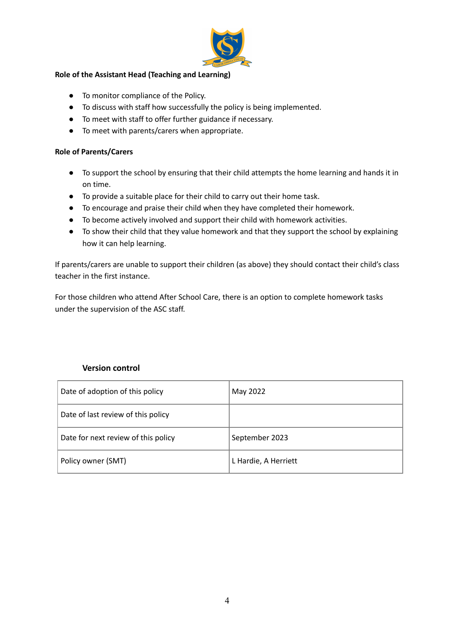

### **Role of the Assistant Head (Teaching and Learning)**

- To monitor compliance of the Policy.
- To discuss with staff how successfully the policy is being implemented.
- To meet with staff to offer further guidance if necessary.
- To meet with parents/carers when appropriate.

#### **Role of Parents/Carers**

- To support the school by ensuring that their child attempts the home learning and hands it in on time.
- To provide a suitable place for their child to carry out their home task.
- To encourage and praise their child when they have completed their homework.
- To become actively involved and support their child with homework activities.
- To show their child that they value homework and that they support the school by explaining how it can help learning.

If parents/carers are unable to support their children (as above) they should contact their child's class teacher in the first instance.

For those children who attend After School Care, there is an option to complete homework tasks under the supervision of the ASC staff.

# **Version control**

| Date of adoption of this policy     | May 2022             |
|-------------------------------------|----------------------|
| Date of last review of this policy  |                      |
| Date for next review of this policy | September 2023       |
| Policy owner (SMT)                  | L Hardie, A Herriett |